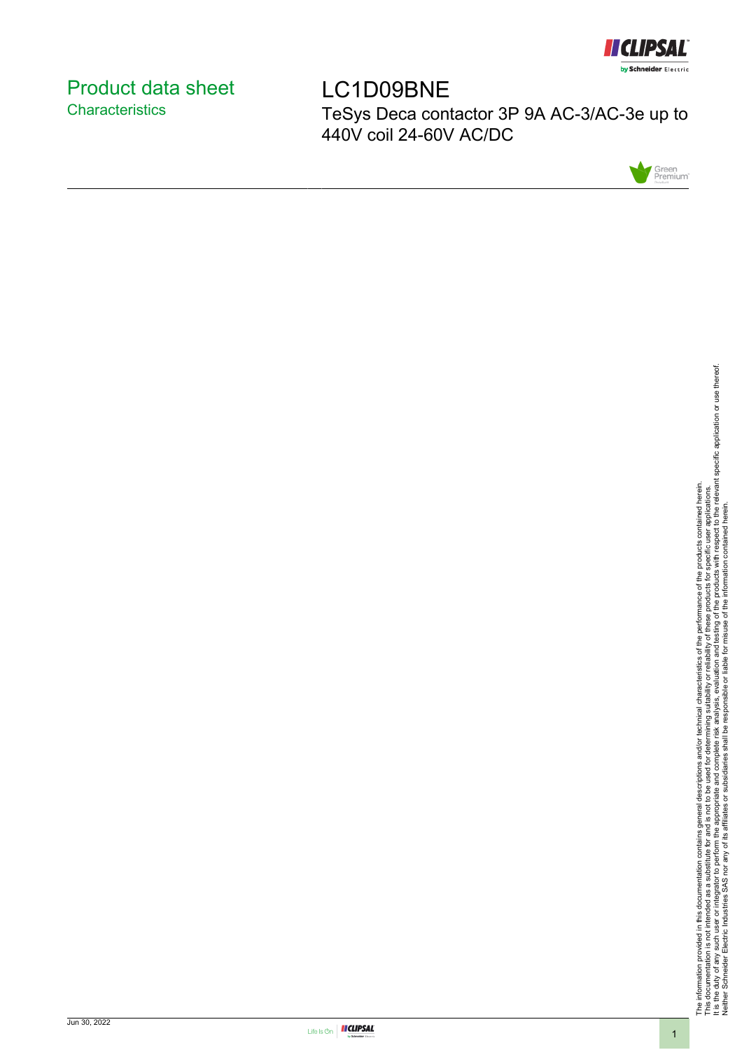

# <span id="page-0-0"></span>Product data sheet **Characteristics**

LC1D09BNE TeSys Deca contactor 3P 9A AC-3/AC-3e up to 440V coil 24-60V AC/DC



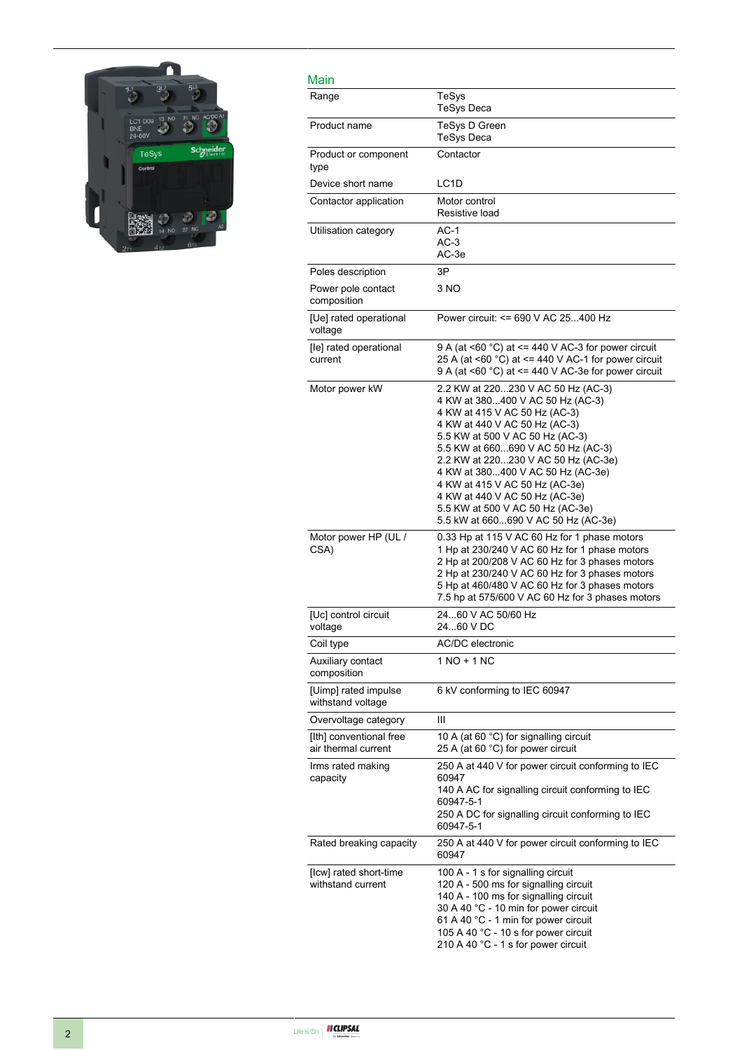

#### Main

| Main                                           |                                                                                                                                                                                                                                                                                                                                                                                                                                              |
|------------------------------------------------|----------------------------------------------------------------------------------------------------------------------------------------------------------------------------------------------------------------------------------------------------------------------------------------------------------------------------------------------------------------------------------------------------------------------------------------------|
| Range                                          | TeSys<br><b>TeSys Deca</b>                                                                                                                                                                                                                                                                                                                                                                                                                   |
| Product name                                   | TeSys D Green<br>TeSys Deca                                                                                                                                                                                                                                                                                                                                                                                                                  |
| Product or component<br>type                   | Contactor                                                                                                                                                                                                                                                                                                                                                                                                                                    |
| Device short name                              | LC <sub>1</sub> D                                                                                                                                                                                                                                                                                                                                                                                                                            |
| Contactor application                          | Motor control<br>Resistive load                                                                                                                                                                                                                                                                                                                                                                                                              |
| Utilisation category                           | $AC-1$<br>$AC-3$<br>AC-3e                                                                                                                                                                                                                                                                                                                                                                                                                    |
| Poles description                              | 3P                                                                                                                                                                                                                                                                                                                                                                                                                                           |
| Power pole contact<br>composition              | 3 NO                                                                                                                                                                                                                                                                                                                                                                                                                                         |
| [Ue] rated operational<br>voltage              | Power circuit: <= 690 V AC 25400 Hz                                                                                                                                                                                                                                                                                                                                                                                                          |
| [le] rated operational<br>current              | 9 A (at <60 $^{\circ}$ C) at <= 440 V AC-3 for power circuit<br>25 A (at <60 $^{\circ}$ C) at <= 440 V AC-1 for power circuit<br>9 A (at <60 $^{\circ}$ C) at <= 440 V AC-3e for power circuit                                                                                                                                                                                                                                               |
| Motor power kW                                 | 2.2 KW at 220230 V AC 50 Hz (AC-3)<br>4 KW at 380400 V AC 50 Hz (AC-3)<br>4 KW at 415 V AC 50 Hz (AC-3)<br>4 KW at 440 V AC 50 Hz (AC-3)<br>5.5 KW at 500 V AC 50 Hz (AC-3)<br>5.5 KW at 660690 V AC 50 Hz (AC-3)<br>2.2 KW at 220230 V AC 50 Hz (AC-3e)<br>4 KW at 380400 V AC 50 Hz (AC-3e)<br>4 KW at 415 V AC 50 Hz (AC-3e)<br>4 KW at 440 V AC 50 Hz (AC-3e)<br>5.5 KW at 500 V AC 50 Hz (AC-3e)<br>5.5 kW at 660690 V AC 50 Hz (AC-3e) |
| Motor power HP (UL /<br>CSA)                   | 0.33 Hp at 115 V AC 60 Hz for 1 phase motors<br>1 Hp at 230/240 V AC 60 Hz for 1 phase motors<br>2 Hp at 200/208 V AC 60 Hz for 3 phases motors<br>2 Hp at 230/240 V AC 60 Hz for 3 phases motors<br>5 Hp at 460/480 V AC 60 Hz for 3 phases motors<br>7.5 hp at 575/600 V AC 60 Hz for 3 phases motors                                                                                                                                      |
| [Uc] control circuit<br>voltage                | 2460 V AC 50/60 Hz<br>2460 V DC                                                                                                                                                                                                                                                                                                                                                                                                              |
| Coil type                                      | AC/DC electronic                                                                                                                                                                                                                                                                                                                                                                                                                             |
| Auxiliary contact<br>composition               | 1 NO + 1 NC                                                                                                                                                                                                                                                                                                                                                                                                                                  |
| [Uimp] rated impulse<br>withstand voltage      | 6 kV conforming to IEC 60947                                                                                                                                                                                                                                                                                                                                                                                                                 |
| Overvoltage category                           | Ш                                                                                                                                                                                                                                                                                                                                                                                                                                            |
| [Ith] conventional free<br>air thermal current | 10 A (at 60 °C) for signalling circuit<br>25 A (at 60 °C) for power circuit                                                                                                                                                                                                                                                                                                                                                                  |
| Irms rated making<br>capacity                  | 250 A at 440 V for power circuit conforming to IEC<br>60947<br>140 A AC for signalling circuit conforming to IEC<br>60947-5-1<br>250 A DC for signalling circuit conforming to IEC<br>60947-5-1                                                                                                                                                                                                                                              |
| Rated breaking capacity                        | 250 A at 440 V for power circuit conforming to IEC<br>60947                                                                                                                                                                                                                                                                                                                                                                                  |
| [Icw] rated short-time<br>withstand current    | 100 A - 1 s for signalling circuit<br>120 A - 500 ms for signalling circuit<br>140 A - 100 ms for signalling circuit<br>30 A 40 °C - 10 min for power circuit<br>61 A 40 °C - 1 min for power circuit<br>105 A 40 °C - 10 s for power circuit<br>210 A 40 °C - 1 s for power circuit                                                                                                                                                         |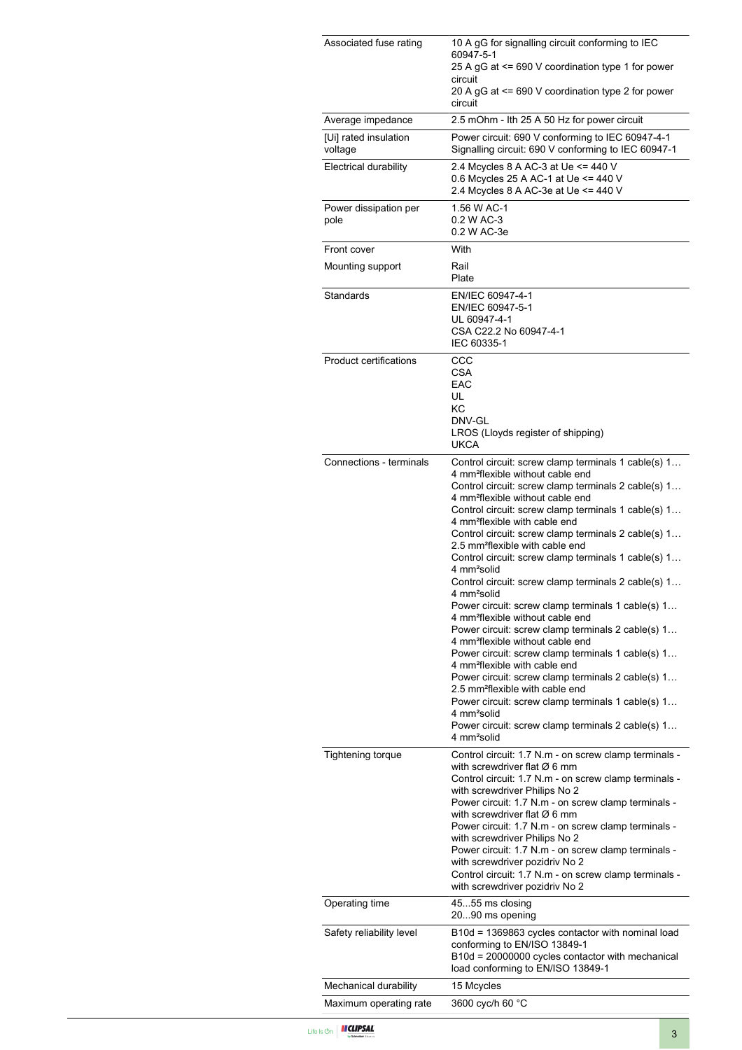| Associated fuse rating           | 10 A gG for signalling circuit conforming to IEC<br>60947-5-1<br>25 A gG at <= 690 V coordination type 1 for power<br>circuit                                                                                                                                                                                                                                                                                                                                                                                                                                                                                                                                                                                                                                                                                                                                                                                                                                                                                                                                                                                                                                            |
|----------------------------------|--------------------------------------------------------------------------------------------------------------------------------------------------------------------------------------------------------------------------------------------------------------------------------------------------------------------------------------------------------------------------------------------------------------------------------------------------------------------------------------------------------------------------------------------------------------------------------------------------------------------------------------------------------------------------------------------------------------------------------------------------------------------------------------------------------------------------------------------------------------------------------------------------------------------------------------------------------------------------------------------------------------------------------------------------------------------------------------------------------------------------------------------------------------------------|
|                                  | 20 A gG at <= 690 V coordination type 2 for power<br>circuit                                                                                                                                                                                                                                                                                                                                                                                                                                                                                                                                                                                                                                                                                                                                                                                                                                                                                                                                                                                                                                                                                                             |
| Average impedance                | 2.5 mOhm - Ith 25 A 50 Hz for power circuit                                                                                                                                                                                                                                                                                                                                                                                                                                                                                                                                                                                                                                                                                                                                                                                                                                                                                                                                                                                                                                                                                                                              |
| [Ui] rated insulation<br>voltage | Power circuit: 690 V conforming to IEC 60947-4-1<br>Signalling circuit: 690 V conforming to IEC 60947-1                                                                                                                                                                                                                                                                                                                                                                                                                                                                                                                                                                                                                                                                                                                                                                                                                                                                                                                                                                                                                                                                  |
| <b>Electrical durability</b>     | 2.4 Mcycles 8 A AC-3 at Ue <= 440 V<br>0.6 Mcycles 25 A AC-1 at Ue <= 440 V<br>2.4 Mcycles 8 A AC-3e at Ue <= 440 V                                                                                                                                                                                                                                                                                                                                                                                                                                                                                                                                                                                                                                                                                                                                                                                                                                                                                                                                                                                                                                                      |
| Power dissipation per<br>pole    | 1.56 W AC-1<br>0.2 W AC-3<br>0.2 W AC-3e                                                                                                                                                                                                                                                                                                                                                                                                                                                                                                                                                                                                                                                                                                                                                                                                                                                                                                                                                                                                                                                                                                                                 |
| Front cover                      | With                                                                                                                                                                                                                                                                                                                                                                                                                                                                                                                                                                                                                                                                                                                                                                                                                                                                                                                                                                                                                                                                                                                                                                     |
| Mounting support                 | Rail<br>Plate                                                                                                                                                                                                                                                                                                                                                                                                                                                                                                                                                                                                                                                                                                                                                                                                                                                                                                                                                                                                                                                                                                                                                            |
| Standards                        | EN/IEC 60947-4-1<br>EN/IEC 60947-5-1<br>UL 60947-4-1<br>CSA C22.2 No 60947-4-1<br>IEC 60335-1                                                                                                                                                                                                                                                                                                                                                                                                                                                                                                                                                                                                                                                                                                                                                                                                                                                                                                                                                                                                                                                                            |
| <b>Product certifications</b>    | CCC<br><b>CSA</b><br>EAC<br>UL<br>КC<br>DNV-GL<br>LROS (Lloyds register of shipping)<br><b>UKCA</b>                                                                                                                                                                                                                                                                                                                                                                                                                                                                                                                                                                                                                                                                                                                                                                                                                                                                                                                                                                                                                                                                      |
| Connections - terminals          | Control circuit: screw clamp terminals 1 cable(s) 1<br>4 mm <sup>2</sup> flexible without cable end<br>Control circuit: screw clamp terminals 2 cable(s) 1<br>4 mm <sup>2</sup> flexible without cable end<br>Control circuit: screw clamp terminals 1 cable(s) 1<br>4 mm <sup>2</sup> flexible with cable end<br>Control circuit: screw clamp terminals 2 cable(s) 1<br>2.5 mm <sup>2</sup> flexible with cable end<br>Control circuit: screw clamp terminals 1 cable(s) 1<br>4 mm <sup>2</sup> solid<br>Control circuit: screw clamp terminals 2 cable(s) 1<br>4 mm <sup>2</sup> solid<br>Power circuit: screw clamp terminals 1 cable(s) 1<br>4 mm <sup>2</sup> flexible without cable end<br>Power circuit: screw clamp terminals 2 cable(s) 1<br>4 mm <sup>2</sup> flexible without cable end<br>Power circuit: screw clamp terminals 1 cable(s) 1<br>4 mm <sup>2</sup> flexible with cable end<br>Power circuit: screw clamp terminals 2 cable(s) 1<br>2.5 mm <sup>2</sup> flexible with cable end<br>Power circuit: screw clamp terminals 1 cable(s) 1<br>4 mm <sup>2</sup> solid<br>Power circuit: screw clamp terminals 2 cable(s) 1<br>4 mm <sup>2</sup> solid |
| Tightening torque                | Control circuit: 1.7 N.m - on screw clamp terminals -<br>with screwdriver flat $\varnothing$ 6 mm<br>Control circuit: 1.7 N.m - on screw clamp terminals -<br>with screwdriver Philips No 2<br>Power circuit: 1.7 N.m - on screw clamp terminals -<br>with screwdriver flat $\varnothing$ 6 mm<br>Power circuit: 1.7 N.m - on screw clamp terminals -<br>with screwdriver Philips No 2<br>Power circuit: 1.7 N.m - on screw clamp terminals -<br>with screwdriver pozidriv No 2<br>Control circuit: 1.7 N.m - on screw clamp terminals -<br>with screwdriver pozidriv No 2                                                                                                                                                                                                                                                                                                                                                                                                                                                                                                                                                                                               |
| Operating time                   | 4555 ms closing<br>2090 ms opening                                                                                                                                                                                                                                                                                                                                                                                                                                                                                                                                                                                                                                                                                                                                                                                                                                                                                                                                                                                                                                                                                                                                       |
| Safety reliability level         | B10d = 1369863 cycles contactor with nominal load<br>conforming to EN/ISO 13849-1<br>B10d = 20000000 cycles contactor with mechanical<br>load conforming to EN/ISO 13849-1                                                                                                                                                                                                                                                                                                                                                                                                                                                                                                                                                                                                                                                                                                                                                                                                                                                                                                                                                                                               |
| Mechanical durability            | 15 Mcycles                                                                                                                                                                                                                                                                                                                                                                                                                                                                                                                                                                                                                                                                                                                                                                                                                                                                                                                                                                                                                                                                                                                                                               |
| Maximum operating rate           | 3600 cyc/h 60 °C                                                                                                                                                                                                                                                                                                                                                                                                                                                                                                                                                                                                                                                                                                                                                                                                                                                                                                                                                                                                                                                                                                                                                         |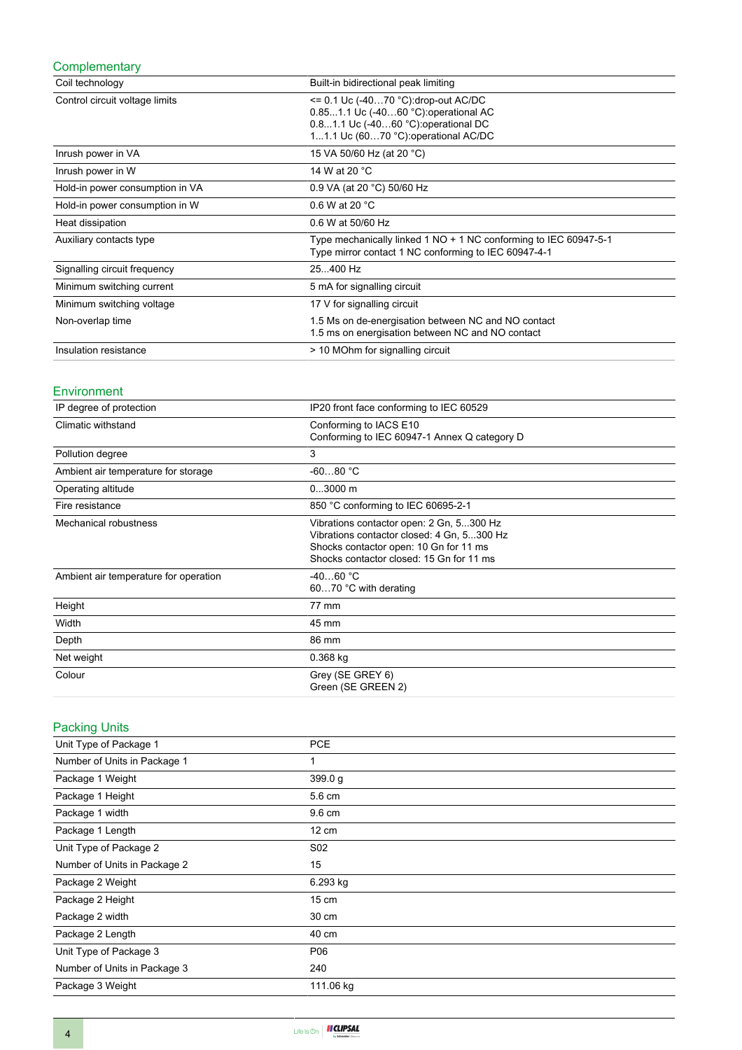## **Complementary**

| Coil technology                 | Built-in bidirectional peak limiting                                                                                                                           |
|---------------------------------|----------------------------------------------------------------------------------------------------------------------------------------------------------------|
| Control circuit voltage limits  | $= 0.1$ Uc (-4070 °C): drop-out AC/DC<br>0.851.1 Uc (-4060 °C): operational AC<br>0.81.1 Uc (-4060 °C): operational DC<br>11.1 Uc (6070 °C): operational AC/DC |
| Inrush power in VA              | 15 VA 50/60 Hz (at 20 °C)                                                                                                                                      |
| Inrush power in W               | 14 W at 20 °C                                                                                                                                                  |
| Hold-in power consumption in VA | 0.9 VA (at 20 °C) 50/60 Hz                                                                                                                                     |
| Hold-in power consumption in W  | 0.6 W at 20 $^{\circ}$ C                                                                                                                                       |
| Heat dissipation                | 0.6 W at 50/60 Hz                                                                                                                                              |
| Auxiliary contacts type         | Type mechanically linked 1 NO + 1 NC conforming to IEC 60947-5-1<br>Type mirror contact 1 NC conforming to IEC 60947-4-1                                       |
| Signalling circuit frequency    | 25400 Hz                                                                                                                                                       |
| Minimum switching current       | 5 mA for signalling circuit                                                                                                                                    |
| Minimum switching voltage       | 17 V for signalling circuit                                                                                                                                    |
| Non-overlap time                | 1.5 Ms on de-energisation between NC and NO contact<br>1.5 ms on energisation between NC and NO contact                                                        |
| Insulation resistance           | > 10 MOhm for signalling circuit                                                                                                                               |

#### Environment

| IP degree of protection               | IP20 front face conforming to IEC 60529                                                                                                                                      |
|---------------------------------------|------------------------------------------------------------------------------------------------------------------------------------------------------------------------------|
| Climatic withstand                    | Conforming to IACS E10<br>Conforming to IEC 60947-1 Annex Q category D                                                                                                       |
| Pollution degree                      | 3                                                                                                                                                                            |
| Ambient air temperature for storage   | $-6080 °C$                                                                                                                                                                   |
| Operating altitude                    | $03000$ m                                                                                                                                                                    |
| Fire resistance                       | 850 °C conforming to IEC 60695-2-1                                                                                                                                           |
| Mechanical robustness                 | Vibrations contactor open: 2 Gn, 5300 Hz<br>Vibrations contactor closed: 4 Gn, 5300 Hz<br>Shocks contactor open: 10 Gn for 11 ms<br>Shocks contactor closed: 15 Gn for 11 ms |
| Ambient air temperature for operation | $-4060 °C$<br>6070 °C with derating                                                                                                                                          |
| Height                                | 77 mm                                                                                                                                                                        |
| Width                                 | 45 mm                                                                                                                                                                        |
| Depth                                 | 86 mm                                                                                                                                                                        |
| Net weight                            | $0.368$ kg                                                                                                                                                                   |
| Colour                                | Grey (SE GREY 6)<br>Green (SE GREEN 2)                                                                                                                                       |

## Packing Units

| Unit Type of Package 1       | <b>PCE</b>      |
|------------------------------|-----------------|
| Number of Units in Package 1 |                 |
| Package 1 Weight             | 399.0 g         |
| Package 1 Height             | 5.6 cm          |
| Package 1 width              | 9.6 cm          |
| Package 1 Length             | $12 \text{ cm}$ |
| Unit Type of Package 2       | S <sub>02</sub> |
| Number of Units in Package 2 | 15              |
| Package 2 Weight             | 6.293 kg        |
| Package 2 Height             | $15 \text{ cm}$ |
| Package 2 width              | 30 cm           |
| Package 2 Length             | 40 cm           |
| Unit Type of Package 3       | P06             |
| Number of Units in Package 3 | 240             |
| Package 3 Weight             | 111.06 kg       |